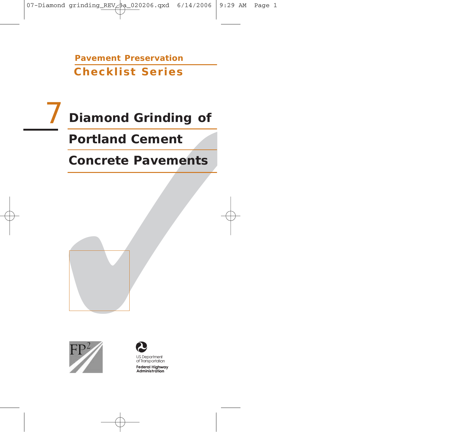**Pavement Preservation Checklist Series**

# Diamond Grinding of<br>
Portland Cement<br>
Concrete Pavements<br>
FP<sup>2</sup> **Concrete Pavements Portland Cement** 7 **Diamond Grinding of**







**Federal Highway** Administration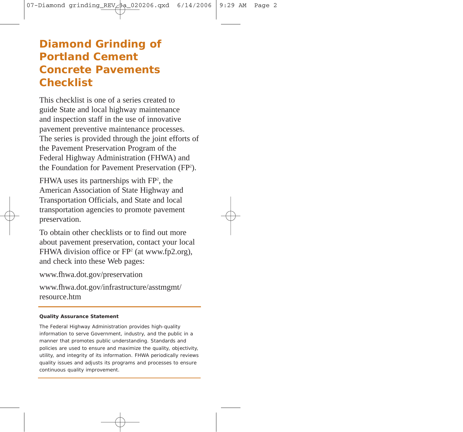# **Diamond Grinding of Portland Cement Concrete Pavements Checklist**

This checklist is one of a series created to guide State and local highway maintenance and inspection staff in the use of innovative pavement preventive maintenance processes. The series is provided through the joint efforts of the Pavement Preservation Program of the Federal Highway Administration (FHWA) and the Foundation for Pavement Preservation (FP<sup>2</sup>).

FHWA uses its partnerships with FP<sup>2</sup>, the American Association of State Highway and Transportation Officials, and State and local transportation agencies to promote pavement preservation.

To obtain other checklists or to find out more about pavement preservation, contact your local FHWA division office or FP<sup>2</sup> (at www.fp2.org), and check into these Web pages:

www.fhwa.dot.gov/preservation

www.fhwa.dot.gov/infrastructure/asstmgmt/ resource.htm

#### **Quality Assurance Statement**

The Federal Highway Administration provides high-quality information to serve Government, industry, and the public in a manner that promotes public understanding. Standards and policies are used to ensure and maximize the quality, objectivity, utility, and integrity of its information. FHWA periodically reviews quality issues and adjusts its programs and processes to ensure continuous quality improvement.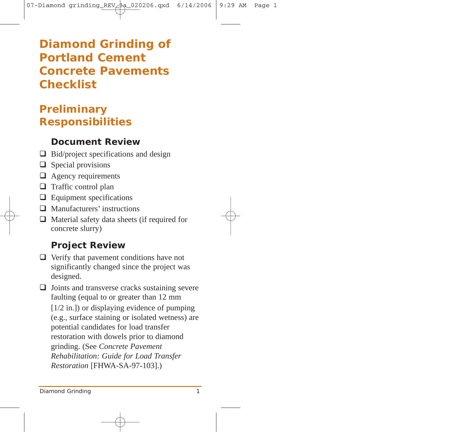# **Diamond Grinding of Portland Cement Concrete Pavements Checklist**

# **Preliminary Responsibilities**

#### **Document Review**

- $\Box$  Bid/project specifications and design
- $\Box$  Special provisions
- $\Box$  Agency requirements
- $\Box$  Traffic control plan
- $\Box$  Equipment specifications
- □ Manufacturers' instructions
- $\Box$  Material safety data sheets (if required for concrete slurry)

## **Project Review**

 $\Box$  Verify that pavement conditions have not significantly changed since the project was designed.

 $\Box$  Joints and transverse cracks sustaining severe faulting (equal to or greater than 12 mm [1/2 in.]) or displaying evidence of pumping (e.g., surface staining or isolated wetness) are potential candidates for load transfer restoration with dowels prior to diamond grinding. (See *Concrete Pavement Rehabilitation: Guide for Load Transfer Restoration* [FHWA-SA-97-103].)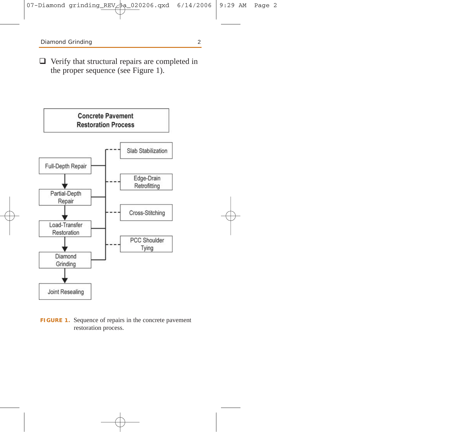$\Box$  Verify that structural repairs are completed in the proper sequence (see Figure 1).



**FIGURE 1.** Sequence of repairs in the concrete pavement restoration process.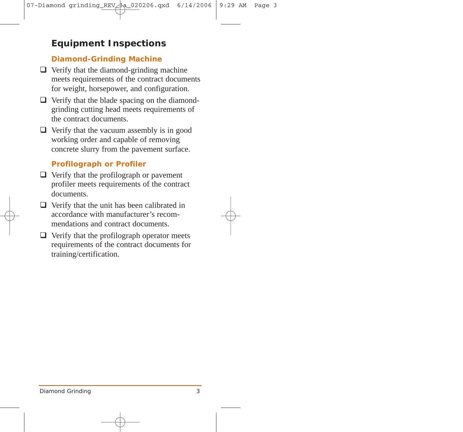## **Equipment Inspections**

#### **Diamond-Grinding Machine**

- $\Box$  Verify that the diamond-grinding machine meets requirements of the contract documents for weight, horsepower, and configuration.
- $\Box$  Verify that the blade spacing on the diamondgrinding cutting head meets requirements of the contract documents.
- $\Box$  Verify that the vacuum assembly is in good working order and capable of removing concrete slurry from the pavement surface.

#### **Profilograph or Profiler**

- $\Box$  Verify that the profilograph or pavement profiler meets requirements of the contract documents.
- $\Box$  Verify that the unit has been calibrated in accordance with manufacturer's recommendations and contract documents.
- $\Box$  Verify that the profilograph operator meets requirements of the contract documents for training/certification.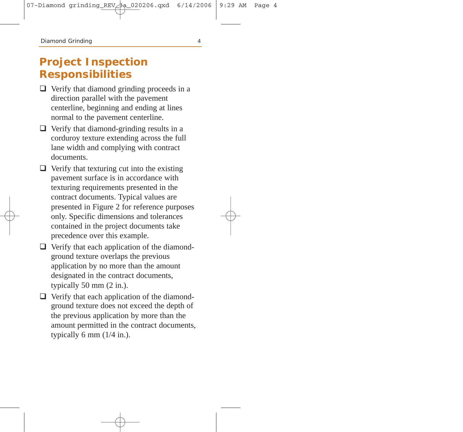## **Project Inspection Responsibilities**

- $\Box$  Verify that diamond grinding proceeds in a direction parallel with the pavement centerline, beginning and ending at lines normal to the pavement centerline.
- $\Box$  Verify that diamond-grinding results in a corduroy texture extending across the full lane width and complying with contract documents.
- $\Box$  Verify that texturing cut into the existing pavement surface is in accordance with texturing requirements presented in the contract documents. Typical values are presented in Figure 2 for reference purposes only. Specific dimensions and tolerances contained in the project documents take precedence over this example.
- $\Box$  Verify that each application of the diamondground texture overlaps the previous application by no more than the amount designated in the contract documents, typically 50 mm (2 in.).
- $\Box$  Verify that each application of the diamondground texture does not exceed the depth of the previous application by more than the amount permitted in the contract documents, typically 6 mm  $(1/4$  in.).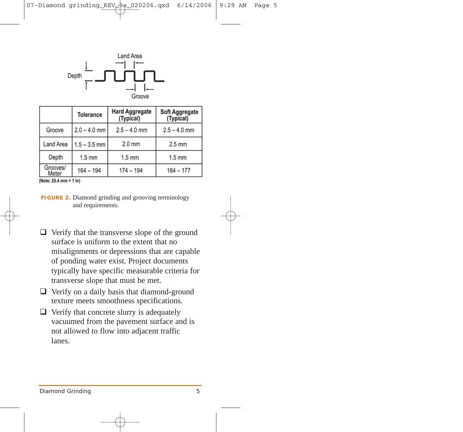

|                   | <b>Tolerance</b> | <b>Hard Aggregate</b><br>(Typical) | <b>Soft Aggregate</b><br>(Typical) |
|-------------------|------------------|------------------------------------|------------------------------------|
| Groove            | $2.0 - 4.0$ mm   | $2.5 - 4.0$ mm                     | $2.5 - 4.0$ mm                     |
| <b>Land Area</b>  | $1.5 - 3.5$ mm   | $2.0$ mm                           | $2.5$ mm                           |
| Depth             | $1.5$ mm         | $1.5$ mm                           | $1.5$ mm                           |
| Grooves/<br>Meter | $164 - 194$      | $174 - 194$                        | $164 - 177$                        |

(Note: 25.4 mm = 1 in)

- $\Box$  Verify that the transverse slope of the ground surface is uniform to the extent that no misalignments or depressions that are capable of ponding water exist. Project documents typically have specific measurable criteria for transverse slope that must be met.
- $\Box$  Verify on a daily basis that diamond-ground texture meets smoothness specifications.
- $\Box$  Verify that concrete slurry is adequately vacuumed from the pavement surface and is not allowed to flow into adjacent traffic lanes.

**FIGURE 2.** Diamond grinding and grooving terminology and requirements.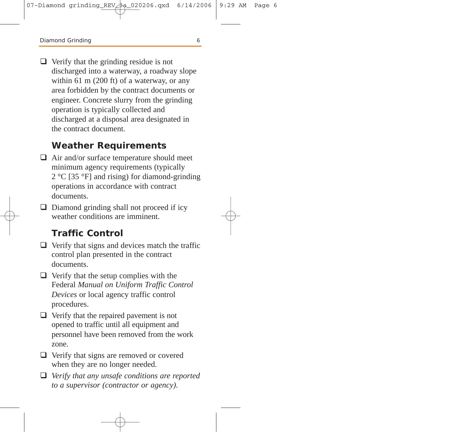$\Box$  Verify that the grinding residue is not discharged into a waterway, a roadway slope within 61 m (200 ft) of a waterway, or any area forbidden by the contract documents or engineer. Concrete slurry from the grinding operation is typically collected and discharged at a disposal area designated in the contract document.

#### **Weather Requirements**

- $\Box$  Air and/or surface temperature should meet minimum agency requirements (typically 2 °C [35 °F] and rising) for diamond-grinding operations in accordance with contract documents.
- $\Box$  Diamond grinding shall not proceed if icy weather conditions are imminent.

#### **Traffic Control**

- $\Box$  Verify that signs and devices match the traffic control plan presented in the contract documents.
- $\Box$  Verify that the setup complies with the Federal *Manual on Uniform Traffic Control Devices* or local agency traffic control procedures.
- $\Box$  Verify that the repaired pavement is not opened to traffic until all equipment and personnel have been removed from the work zone.
- $\Box$  Verify that signs are removed or covered when they are no longer needed.
- *Verify that any unsafe conditions are reported to a supervisor (contractor or agency).*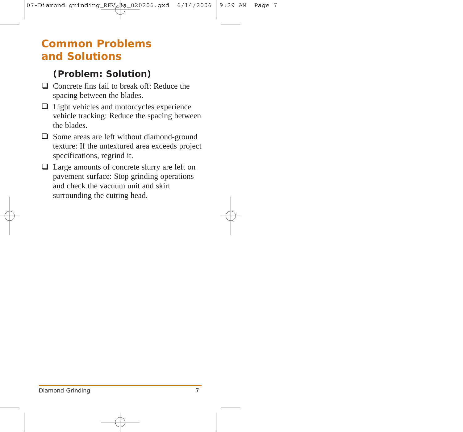## **Common Problems and Solutions**

## **(Problem: Solution)**

- $\Box$  Concrete fins fail to break off: Reduce the spacing between the blades.
- $\Box$  Light vehicles and motorcycles experience vehicle tracking: Reduce the spacing between the blades.
- $\Box$  Some areas are left without diamond-ground texture: If the untextured area exceeds project specifications, regrind it.
- □ Large amounts of concrete slurry are left on pavement surface: Stop grinding operations and check the vacuum unit and skirt surrounding the cutting head.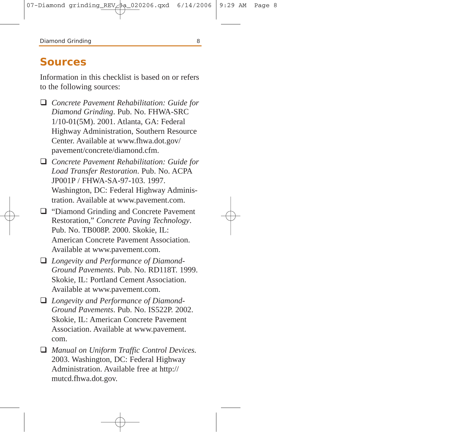## **Sources**

Information in this checklist is based on or refers to the following sources:

- *Concrete Pavement Rehabilitation: Guide for Diamond Grinding*. Pub. No. FHWA-SRC 1/10-01(5M). 2001. Atlanta, GA: Federal Highway Administration, Southern Resource Center. Available at www.fhwa.dot.gov/ pavement/concrete/diamond.cfm.
- *Concrete Pavement Rehabilitation: Guide for Load Transfer Restoration*. Pub. No. ACPA JP001P / FHWA-SA-97-103. 1997. Washington, DC: Federal Highway Administration. Available at www.pavement.com.
- □ "Diamond Grinding and Concrete Pavement Restoration," *Concrete Paving Technology*. Pub. No. TB008P. 2000. Skokie, IL: American Concrete Pavement Association. Available at www.pavement.com.
- *Longevity and Performance of Diamond-Ground Pavements*. Pub. No. RD118T. 1999. Skokie, IL: Portland Cement Association. Available at www.pavement.com.
- *Longevity and Performance of Diamond-Ground Pavements*. Pub. No. IS522P. 2002. Skokie, IL: American Concrete Pavement Association. Available at www.pavement. com.
- *Manual on Uniform Traffic Control Devices.* 2003. Washington, DC: Federal Highway Administration. Available free at http:// mutcd.fhwa.dot.gov.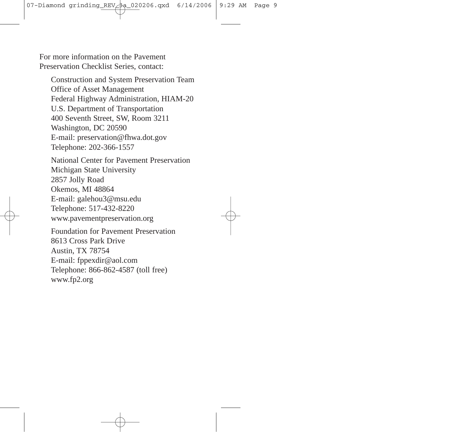For more information on the Pavement Preservation Checklist Series, contact:

Construction and System Preservation Team Office of Asset Management Federal Highway Administration, HIAM-20 U.S. Department of Transportation 400 Seventh Street, SW, Room 3211 Washington, DC 20590 E-mail: preservation@fhwa.dot.gov Telephone: 202-366-1557

National Center for Pavement Preservation Michigan State University 2857 Jolly Road Okemos, MI 48864 E-mail: galehou3@msu.edu Telephone: 517-432-8220 www.pavementpreservation.org

Foundation for Pavement Preservation 8613 Cross Park Drive Austin, TX 78754 E-mail: fppexdir@aol.com Telephone: 866-862-4587 (toll free) www.fp2.org